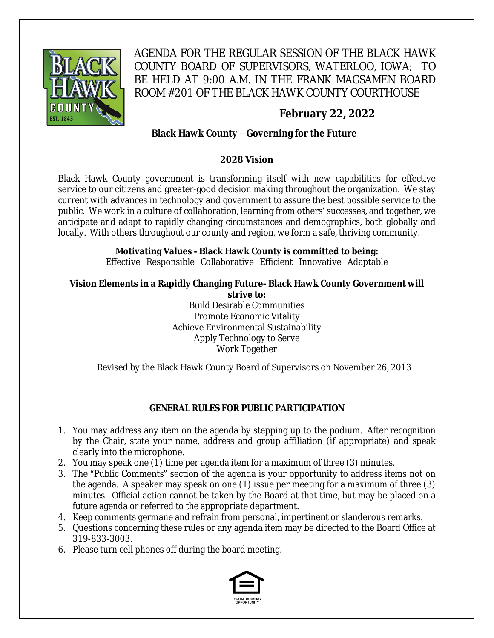

AGENDA FOR THE REGULAR SESSION OF THE BLACK HAWK COUNTY BOARD OF SUPERVISORS, WATERLOO, IOWA; TO BE HELD AT 9:00 A.M. IN THE FRANK MAGSAMEN BOARD ROOM #201 OF THE BLACK HAWK COUNTY COURTHOUSE

# **February 22, 2022**

## **Black Hawk County – Governing for the Future**

### **2028 Vision**

Black Hawk County government is transforming itself with new capabilities for effective service to our citizens and greater-good decision making throughout the organization. We stay current with advances in technology and government to assure the best possible service to the public. We work in a culture of collaboration, learning from others' successes, and together, we anticipate and adapt to rapidly changing circumstances and demographics, both globally and locally. With others throughout our county and region, we form a safe, thriving community.

### **Motivating Values - Black Hawk County is committed to being:**

Effective Responsible Collaborative Efficient Innovative Adaptable

#### **Vision Elements in a Rapidly Changing Future- Black Hawk County Government will strive to:**

Build Desirable Communities Promote Economic Vitality Achieve Environmental Sustainability Apply Technology to Serve Work Together

Revised by the Black Hawk County Board of Supervisors on November 26, 2013

## **GENERAL RULES FOR PUBLIC PARTICIPATION**

- 1. You may address any item on the agenda by stepping up to the podium. After recognition by the Chair, state your name, address and group affiliation (if appropriate) and speak clearly into the microphone.
- 2. You may speak one  $(1)$  time per agenda item for a maximum of three  $(3)$  minutes.
- 3. The "Public Comments" section of the agenda is your opportunity to address items not on the agenda. A speaker may speak on one (1) issue per meeting for a maximum of three (3) minutes. Official action cannot be taken by the Board at that time, but may be placed on a future agenda or referred to the appropriate department.
- 4. Keep comments germane and refrain from personal, impertinent or slanderous remarks.
- 5. Questions concerning these rules or any agenda item may be directed to the Board Office at 319-833-3003.
- 6. Please turn cell phones off during the board meeting.

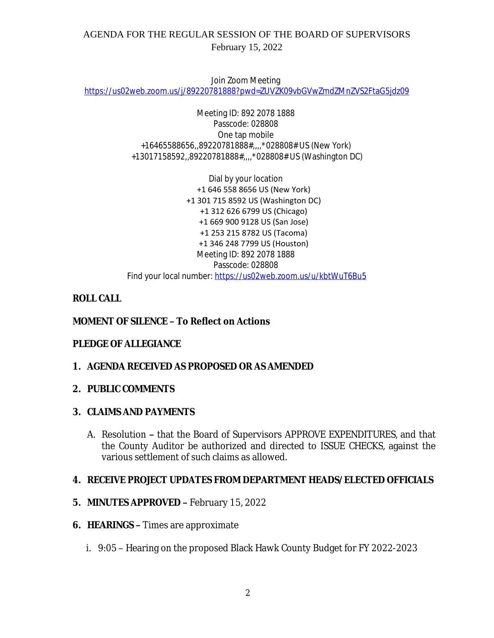## AGENDA FOR THE REGULAR SESSION OF THE BOARD OF SUPERVISORS February 15, 2022

Join Zoom Meeting [https://us02web.zoom.us/j/89220781888?pwd=ZUVZK09vbGVwZmdZMnZVS2FtaG5jdz09](https://gcc02.safelinks.protection.outlook.com/?url=https%3A%2F%2Fus02web.zoom.us%2Fj%2F89220781888%3Fpwd%3DZUVZK09vbGVwZmdZMnZVS2FtaG5jdz09&data=04%7C01%7Cllamb%40blackhawkcounty.iowa.gov%7C65f3b82ea75a4ee9cda108d9f15367d1%7C9960f5b6faae4bb3a122c43aceeaa06d%7C0%7C0%7C637806162797499064%7CUnknown%7CTWFpbGZsb3d8eyJWIjoiMC4wLjAwMDAiLCJQIjoiV2luMzIiLCJBTiI6Ik1haWwiLCJXVCI6Mn0%3D%7C3000&sdata=%2FOabLDB8ThAisBxIAnbsYUXog6nJoXIiWHmBAhwpss0%3D&reserved=0)

> Meeting ID: 892 2078 1888 Passcode: 028808 One tap mobile +16465588656,,89220781888#,,,,\*028808# US (New York) +13017158592,,89220781888#,,,,\*028808# US (Washington DC)

Dial by your location +1 646 558 8656 US (New York) +1 301 715 8592 US (Washington DC) +1 312 626 6799 US (Chicago) +1 669 900 9128 US (San Jose) +1 253 215 8782 US (Tacoma) +1 346 248 7799 US (Houston) Meeting ID: 892 2078 1888 Passcode: 028808 Find your local number: [https://us02web.zoom.us/u/kbtWuT6Bu5](https://gcc02.safelinks.protection.outlook.com/?url=https%3A%2F%2Fus02web.zoom.us%2Fu%2FkbtWuT6Bu5&data=04%7C01%7Cllamb%40blackhawkcounty.iowa.gov%7C65f3b82ea75a4ee9cda108d9f15367d1%7C9960f5b6faae4bb3a122c43aceeaa06d%7C0%7C0%7C637806162797499064%7CUnknown%7CTWFpbGZsb3d8eyJWIjoiMC4wLjAwMDAiLCJQIjoiV2luMzIiLCJBTiI6Ik1haWwiLCJXVCI6Mn0%3D%7C3000&sdata=lyCbXC7KsZdb%2Fo74Utx1Ya77z03Hpuuf8FD8AxjZv68%3D&reserved=0)

## **ROLL CALL**

## **MOMENT OF SILENCE – To Reflect on Actions**

## **PLEDGE OF ALLEGIANCE**

**1. AGENDA RECEIVED AS PROPOSED OR AS AMENDED**

### **2. PUBLIC COMMENTS**

### **3. CLAIMS AND PAYMENTS**

A. Resolution **–** that the Board of Supervisors APPROVE EXPENDITURES, and that the County Auditor be authorized and directed to ISSUE CHECKS, against the various settlement of such claims as allowed.

### **4. RECEIVE PROJECT UPDATES FROM DEPARTMENT HEADS/ELECTED OFFICIALS**

- **5. MINUTES APPROVED –** February 15, 2022
- **6. HEARINGS –** Times are approximate
	- i. 9:05 Hearing on the proposed Black Hawk County Budget for FY 2022-2023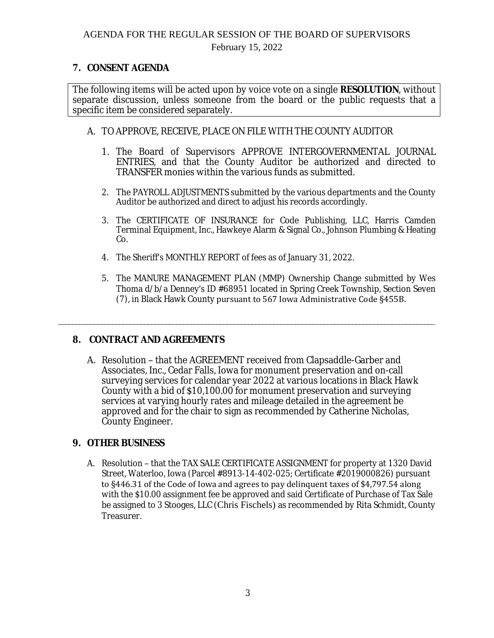February 15, 2022

### **7. CONSENT AGENDA**

The following items will be acted upon by voice vote on a single **RESOLUTION**, without separate discussion, unless someone from the board or the public requests that a specific item be considered separately.

- A. TO APPROVE, RECEIVE, PLACE ON FILE WITH THE COUNTY AUDITOR
	- 1. The Board of Supervisors APPROVE INTERGOVERNMENTAL JOURNAL ENTRIES, and that the County Auditor be authorized and directed to TRANSFER monies within the various funds as submitted.
	- 2. The PAYROLL ADJUSTMENTS submitted by the various departments and the County Auditor be authorized and direct to adjust his records accordingly.
	- 3. The CERTIFICATE OF INSURANCE for Code Publishing, LLC, Harris Camden Terminal Equipment, Inc., Hawkeye Alarm & Signal Co., Johnson Plumbing & Heating Co.
	- 4. The Sheriff's MONTHLY REPORT of fees as of January 31, 2022.
	- 5. The MANURE MANAGEMENT PLAN (MMP) Ownership Change submitted by Wes Thoma d/b/a Denney's ID #68951 located in Spring Creek Township, Section Seven (7), in Black Hawk County pursuant to 567 Iowa Administrative Code §455B.

### **8. CONTRACT AND AGREEMENTS**

A. Resolution – that the AGREEMENT received from Clapsaddle-Garber and Associates, Inc., Cedar Falls, Iowa for monument preservation and on-call surveying services for calendar year 2022 at various locations in Black Hawk County with a bid of \$10,100.00 for monument preservation and surveying services at varying hourly rates and mileage detailed in the agreement be approved and for the chair to sign as recommended by Catherine Nicholas, County Engineer.

\_\_\_\_\_\_\_\_\_\_\_\_\_\_\_\_\_\_\_\_\_\_\_\_\_\_\_\_\_\_\_\_\_\_\_\_\_\_\_\_\_\_\_\_\_\_\_\_\_\_\_\_\_\_\_\_\_\_\_\_\_\_\_\_\_\_\_\_\_\_\_\_\_\_\_\_\_\_\_\_\_\_\_\_\_\_\_\_\_\_\_\_\_\_\_\_\_\_\_\_\_\_\_\_\_

### **9. OTHER BUSINESS**

A. Resolution – that the TAX SALE CERTIFICATE ASSIGNMENT for property at 1320 David Street, Waterloo, Iowa (Parcel #8913-14-402-025; Certificate #2019000826) pursuant to §446.31 of the Code of Iowa and agrees to pay delinquent taxes of \$4,797.54 along with the \$10.00 assignment fee be approved and said Certificate of Purchase of Tax Sale be assigned to 3 Stooges, LLC (Chris Fischels) as recommended by Rita Schmidt, County Treasurer.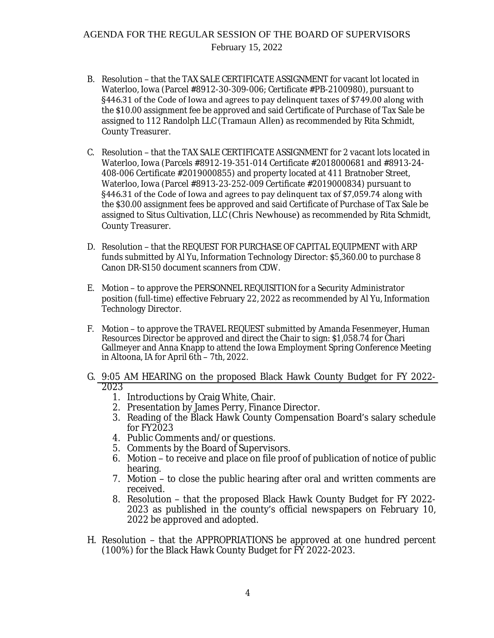## AGENDA FOR THE REGULAR SESSION OF THE BOARD OF SUPERVISORS February 15, 2022

- B. Resolution that the TAX SALE CERTIFICATE ASSIGNMENT for vacant lot located in Waterloo, Iowa (Parcel #8912-30-309-006; Certificate #PB-2100980), pursuant to §446.31 of the Code of Iowa and agrees to pay delinquent taxes of \$749.00 along with the \$10.00 assignment fee be approved and said Certificate of Purchase of Tax Sale be assigned to 112 Randolph LLC (Tramaun Allen) as recommended by Rita Schmidt, County Treasurer.
- C. Resolution that the TAX SALE CERTIFICATE ASSIGNMENT for 2 vacant lots located in Waterloo, Iowa (Parcels #8912-19-351-014 Certificate #2018000681 and #8913-24- 408-006 Certificate #2019000855) and property located at 411 Bratnober Street, Waterloo, Iowa (Parcel #8913-23-252-009 Certificate #2019000834) pursuant to §446.31 of the Code of Iowa and agrees to pay delinquent tax of \$7,059.74 along with the \$30.00 assignment fees be approved and said Certificate of Purchase of Tax Sale be assigned to Situs Cultivation, LLC (Chris Newhouse) as recommended by Rita Schmidt, County Treasurer.
- D. Resolution that the REQUEST FOR PURCHASE OF CAPITAL EQUIPMENT with ARP funds submitted by Al Yu, Information Technology Director: \$5,360.00 to purchase 8 Canon DR-S150 document scanners from CDW.
- E. Motion to approve the PERSONNEL REQUISITION for a Security Administrator position (full-time) effective February 22, 2022 as recommended by Al Yu, Information Technology Director.
- F. Motion to approve the TRAVEL REQUEST submitted by Amanda Fesenmeyer, Human Resources Director be approved and direct the Chair to sign: \$1,058.74 for Chari Gallmeyer and Anna Knapp to attend the Iowa Employment Spring Conference Meeting in Altoona, IA for April 6th – 7th, 2022.
- G. 9:05 AM HEARING on the proposed Black Hawk County Budget for FY 2022- 2023
	- 1. Introductions by Craig White, Chair.
	- 2. Presentation by James Perry, Finance Director.
	- 3. Reading of the Black Hawk County Compensation Board's salary schedule for FY2023
	- 4. Public Comments and/or questions.
	- 5. Comments by the Board of Supervisors.
	- 6. Motion to receive and place on file proof of publication of notice of public hearing.
	- 7. Motion to close the public hearing after oral and written comments are received.
	- 8. Resolution that the proposed Black Hawk County Budget for FY 2022- 2023 as published in the county's official newspapers on February 10, 2022 be approved and adopted.
- H. Resolution that the APPROPRIATIONS be approved at one hundred percent (100%) for the Black Hawk County Budget for FY 2022-2023.